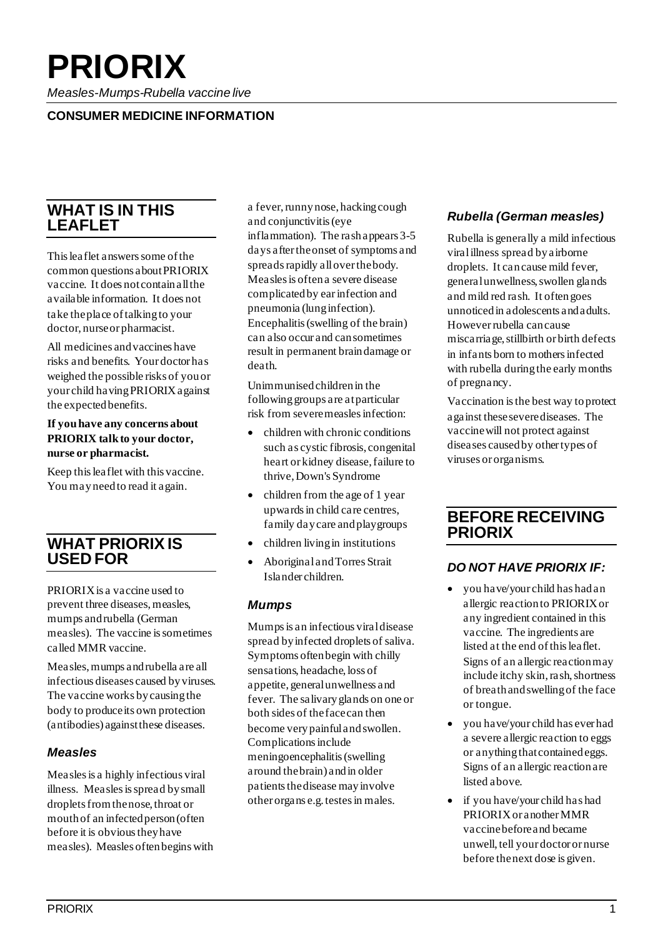# **PRIORIX**

*Measles-Mumps-Rubella vaccine live*

#### **CONSUMER MEDICINE INFORMATION**

# **WHAT IS IN THIS LEAFLET**

This leaflet answers some of the common questions about PRIORIX vaccine. It does not contain all the available information. It does not take the place of talking to your doctor, nurse or pharmacist.

All medicines and vaccines have risks and benefits. Your doctor has weighed the possible risks of you or your child having PRIORIX against the expected benefits.

#### **If you have any concerns about PRIORIX talk to your doctor, nurse or pharmacist.**

Keep this leaflet with this vaccine. You may need to read it again.

# **WHAT PRIORIX IS USED FOR**

PRIORIX is a vaccine used to prevent three diseases, measles, mumps and rubella (German measles). The vaccine is sometimes called MMR vaccine.

Measles, mumps and rubella are all infectious diseases caused by viruses. The vaccine works by causing the body to produce its own protection (antibodies) against these diseases.

#### *Measles*

Measles is a highly infectious viral illness. Measles is spread by small droplets from the nose, throat or mouth of an infected person (often before it is obvious they have measles). Measles often begins with a fever, runny nose, hacking cough and conjunctivitis (eye inflammation). The rash appears 3-5 days after the onset of symptoms and spreads rapidly all over the body. Measles is often a severe disease complicated by ear infection and pneumonia (lung infection). Encephalitis (swelling of the brain) can also occur and can sometimes result in permanent brain damage or death.

Unimmunised children in the following groups are at particular risk from severe measles infection:

- children with chronic conditions such as cystic fibrosis, congenital heart or kidney disease, failure to thrive, Down's Syndrome
- children from the age of 1 year upwards in child care centres, family day care and playgroups
- children living in institutions
- Aboriginal and Torres Strait Islander children.

#### *Mumps*

Mumps is an infectious viral disease spread by infected droplets of saliva. Symptoms often begin with chilly sensations, headache, loss of appetite, general unwellness and fever. The salivary glands on one or both sides of the face can then become very painful and swollen. Complications include meningoencephalitis (swelling around the brain) and in older patients the disease may involve other organs e.g. testes in males.

#### *Rubella (German measles)*

Rubella is generally a mild infectious viral illness spread by airborne droplets. It can cause mild fever, general unwellness, swollen glands and mild red rash. It often goes unnoticed in adolescents and adults. However rubella can cause miscarriage, stillbirth or birth defects in infants born to mothers infected with rubella during the early months of pregnancy.

Vaccination is the best way to protect against these severe diseases. The vaccine will not protect against diseases caused by other types of viruses or organisms.

# **BEFORE RECEIVING PRIORIX**

#### *DO NOT HAVE PRIORIX IF:*

- you have/your child has had an allergic reaction to PRIORIX or any ingredient contained in this vaccine. The ingredients are listed at the end of this leaflet. Signs of an allergic reaction may include itchy skin, rash, shortness of breath and swelling of the face or tongue.
- you have/your child has ever had a severe allergic reaction to eggs or anything that contained eggs. Signs of an allergic reaction are listed above.
- if you have/your child has had PRIORIX or another MMR vaccine before and became unwell, tell your doctor or nurse before the next dose is given.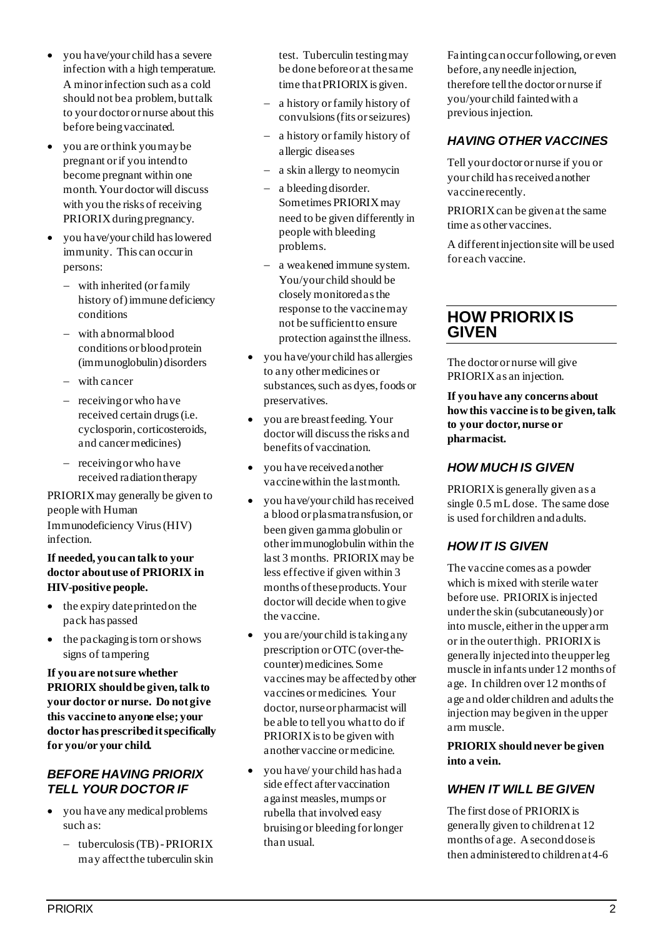- you have/your child has a severe infection with a high temperature. A minor infection such as a cold should not be a problem, but talk to your doctor or nurse about this before being vaccinated.
- you are or think you may be pregnant or if you intend to become pregnant within one month. Your doctor will discuss with you the risks of receiving PRIORIX during pregnancy.
- you have/your child has lowered immunity. This can occur in persons:
	- − with inherited (or family history of) immune deficiency conditions
	- − with abnormal blood conditions or blood protein (immunoglobulin) disorders
	- − with cancer
	- − receiving or who have received certain drugs (i.e. cyclosporin, corticosteroids, and cancer medicines)
	- − receiving or who have received radiation therapy

PRIORIX may generally be given to people with Human Immunodeficiency Virus (HIV) infection.

#### **If needed, you can talk to your doctor about use of PRIORIX in HIV-positive people.**

- the expiry date printed on the pack has passed
- the packaging is torn or shows signs of tampering

**If you are not sure whether PRIORIX should be given, talk to your doctor or nurse. Do not give this vaccine to anyone else; your doctor has prescribed it specifically for you/or your child.**

### *BEFORE HAVING PRIORIX TELL YOUR DOCTOR IF*

- you have any medical problems such as:
	- − tuberculosis (TB) -PRIORIX may affect the tuberculin skin

test. Tuberculin testing may be done before or at the same time that PRIORIX is given.

- − a history or family history of convulsions (fits or seizures)
- − a history or family history of allergic diseases
- − a skin allergy to neomycin
- − a bleeding disorder. Sometimes PRIORIX may need to be given differently in people with bleeding problems.
- − a weakened immune system. You/your child should be closely monitored as the response to the vaccinemay not be sufficient to ensure protection against the illness.
- you have/your child has allergies to any other medicines or substances, such as dyes, foods or preservatives.
- you are breast feeding. Your doctor will discuss the risks and benefits of vaccination.
- you have received another vaccine within the last month.
- you have/your child has received a blood or plasma transfusion, or been given gamma globulin or other immunoglobulin within the last 3 months. PRIORIX may be less effective if given within 3 months of these products. Your doctor will decide when to give the vaccine.
- you are/your child is taking any prescription or OTC (over-thecounter) medicines. Some vaccines may be affected by other vaccines or medicines. Your doctor, nurse or pharmacist will be able to tell you what to do if PRIORIX is to be given with another vaccine or medicine.
- you have/ your child has had a side effect after vaccination against measles, mumps or rubella that involved easy bruising or bleeding for longer than usual.

Fainting can occur following, or even before, any needle injection, therefore tell the doctor or nurse if you/your child fainted with a previous injection.

# *HAVING OTHER VACCINES*

Tell your doctor or nurse if you or your child has received another vaccine recently.

PRIORIX can be given at the same time as other vaccines.

A different injection site will be used for each vaccine.

# **HOW PRIORIX IS GIVEN**

The doctor or nurse will give PRIORIX as an injection.

**If you have any concerns about how this vaccine is to be given, talk to your doctor, nurse or pharmacist.**

# *HOW MUCH IS GIVEN*

PRIORIX is generally given as a single 0.5 mL dose. The same dose is used for children and adults.

# *HOW IT IS GIVEN*

The vaccine comes as a powder which is mixed with sterile water before use. PRIORIX is injected under the skin (subcutaneously) or into muscle, either in the upper arm or in the outer thigh. PRIORIX is generally injected into the upper leg muscle in infants under 12 months of age. In children over 12 months of age and older children and adults the injection may be given in the upper arm muscle.

**PRIORIX should never be given into a vein.**

# *WHEN IT WILL BE GIVEN*

The first dose of PRIORIX is generally given to children at 12 months of age. A second dose is then administered to children at 4-6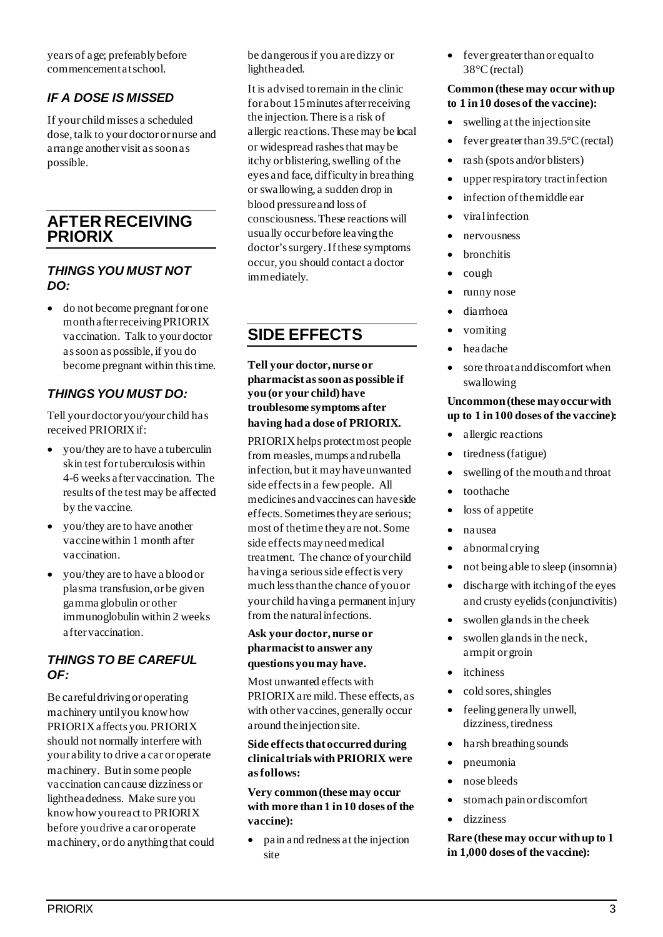years of age; preferably before commencement at school.

# *IF A DOSE IS MISSED*

If your child misses a scheduled dose, talk to your doctor or nurse and arrange another visit as soon as possible.

# **AFTER RECEIVING PRIORIX**

#### *THINGS YOU MUST NOT DO:*

• do not become pregnant for one month after receiving PRIORIX vaccination. Talk to your doctor as soon as possible, if you do become pregnant within this time.

### *THINGS YOU MUST DO:*

Tell your doctor you/your child has received PRIORIX if:

- you/they are to have a tuberculin skin test for tuberculosis within 4-6 weeks after vaccination. The results of the test may be affected by the vaccine.
- you/they are to have another vaccine within 1 month after vaccination.
- you/they are to have a blood or plasma transfusion, or be given gamma globulin or other immunoglobulin within 2 weeks after vaccination.

#### *THINGS TO BE CAREFUL OF:*

Be careful driving or operating machinery until you know how PRIORIX affects you. PRIORIX should not normally interfere with your ability to drive a car or operate machinery. But in some people vaccination can cause dizziness or lightheadedness. Make sure you know how you react to PRIORIX before you drive a car or operate machinery, or do anything that could be dangerous if you are dizzy or lightheaded.

It is advised to remain in the clinic for about 15 minutes after receiving the injection.There is a risk of allergic reactions. These may be local or widespread rashes that may be itchy or blistering, swelling of the eyes and face, difficulty in breathing or swallowing, a sudden drop in blood pressure and loss of consciousness. These reactions will usually occur before leaving the doctor's surgery.If these symptoms occur, you should contact a doctor immediately.

# **SIDE EFFECTS**

**Tell your doctor, nurse or pharmacist as soon as possible if you (or your child) have troublesome symptoms after having had a dose of PRIORIX.**

PRIORIX helps protect most people from measles, mumps and rubella infection, but it may have unwanted side effects in a few people. All medicines and vaccines can have side effects. Sometimes they are serious; most of the time they are not. Some side effects may need medical treatment. The chance of your child having a serious side effect is very much less than the chance of you or your child having a permanent injury from the natural infections.

#### **Ask your doctor, nurse or pharmacist to answer any questions you may have.**

Most unwanted effects with PRIORIX are mild. These effects, as with other vaccines, generally occur around the injection site.

#### **Side effects that occurred during clinical trials with PRIORIX were as follows:**

**Very common (these may occur with more than 1 in 10 doses of the vaccine):** 

• pain and redness at the injection site

• fever greater than or equal to 38°C (rectal)

#### **Common (these may occur with up to 1 in 10 doses of the vaccine):**

- swelling at the injection site
- fever greater than  $39.5^{\circ}$ C (rectal)
- rash (spots and/or blisters)
- upper respiratory tract infection
- infection of the middle ear
- viral infection
- nervousness
- bronchitis
- cough
- runny nose
- diarrhoea
- vomiting
- headache
- sore throat and discomfort when swallowing

#### **Uncommon (these may occur with up to 1 in 100 doses of the vaccine):**

- allergic reactions
- tiredness (fatigue)
- swelling of the mouth and throat
- toothache
- loss of appetite
- nausea
- abnormal crying
- not being able to sleep (insomnia)
- discharge with itching of the eyes and crusty eyelids (conjunctivitis)
- swollen glands in the cheek
- swollen glands in the neck, armpit or groin
- itchiness
- cold sores, shingles
- feeling generally unwell, dizziness, tiredness
- harsh breathing sounds
- pneumonia
- nose bleeds
- stomach pain or discomfort
- dizziness

**Rare (these may occur with up to 1 in 1,000 doses of the vaccine):**